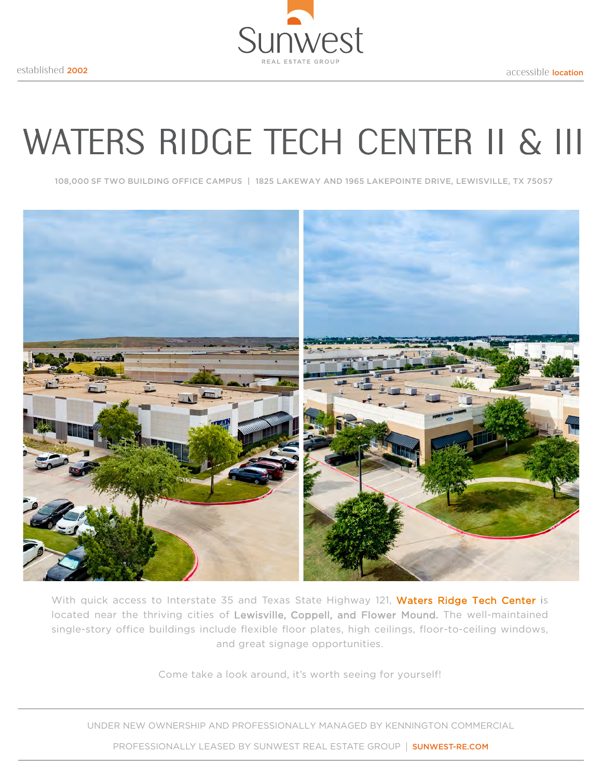

# WATERS RIDGE TECH CENTER II & III

108,000 SF TWO BUILDING OFFICE CAMPUS | 1825 LAKEWAY AND 1965 LAKEPOINTE DRIVE, LEWISVILLE, TX 75057



With quick access to Interstate 35 and Texas State Highway 121, Waters Ridge Tech Center is located near the thriving cities of Lewisville, Coppell, and Flower Mound. The well-maintained single-story office buildings include flexible floor plates, high ceilings, floor-to-ceiling windows, and great signage opportunities.

Come take a look around, it's worth seeing for yourself!

UNDER NEW OWNERSHIP AND PROFESSIONALLY MANAGED BY KENNINGTON COMMERCIAL

PROFESSIONALLY LEASED BY SUNWEST REAL ESTATE GROUP | SUNWEST-RE.COM